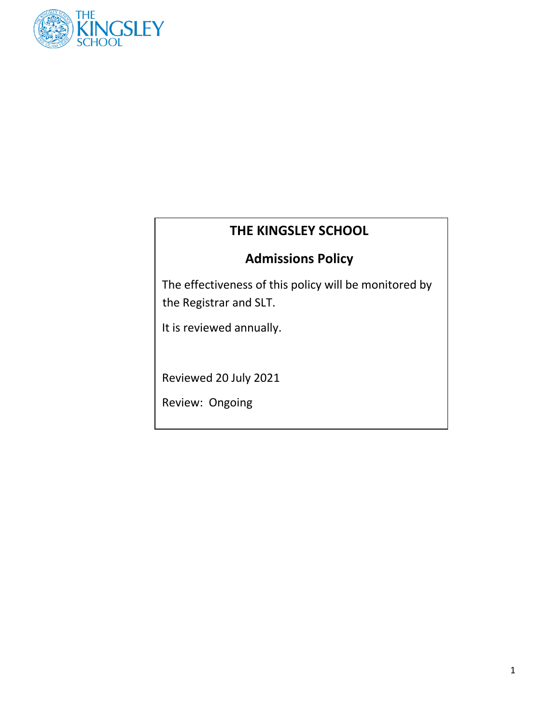

# **THE KINGSLEY SCHOOL**

# **Admissions Policy**

The effectiveness of this policy will be monitored by the Registrar and SLT.

It is reviewed annually.

Reviewed 20 July 2021

Review: Ongoing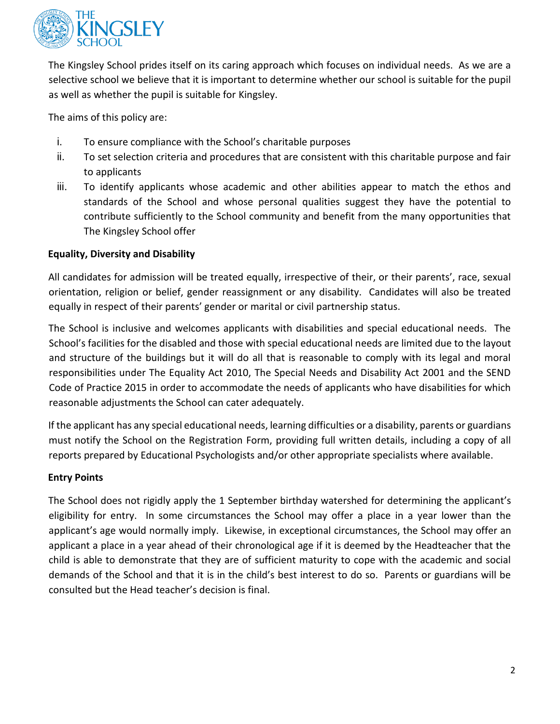

The Kingsley School prides itself on its caring approach which focuses on individual needs. As we are a selective school we believe that it is important to determine whether our school is suitable for the pupil as well as whether the pupil is suitable for Kingsley.

The aims of this policy are:

- i. To ensure compliance with the School's charitable purposes
- ii. To set selection criteria and procedures that are consistent with this charitable purpose and fair to applicants
- iii. To identify applicants whose academic and other abilities appear to match the ethos and standards of the School and whose personal qualities suggest they have the potential to contribute sufficiently to the School community and benefit from the many opportunities that The Kingsley School offer

# **Equality, Diversity and Disability**

All candidates for admission will be treated equally, irrespective of their, or their parents', race, sexual orientation, religion or belief, gender reassignment or any disability. Candidates will also be treated equally in respect of their parents' gender or marital or civil partnership status.

The School is inclusive and welcomes applicants with disabilities and special educational needs. The School's facilities for the disabled and those with special educational needs are limited due to the layout and structure of the buildings but it will do all that is reasonable to comply with its legal and moral responsibilities under The Equality Act 2010, The Special Needs and Disability Act 2001 and the SEND Code of Practice 2015 in order to accommodate the needs of applicants who have disabilities for which reasonable adjustments the School can cater adequately.

If the applicant has any special educational needs, learning difficulties or a disability, parents or guardians must notify the School on the Registration Form, providing full written details, including a copy of all reports prepared by Educational Psychologists and/or other appropriate specialists where available.

# **Entry Points**

The School does not rigidly apply the 1 September birthday watershed for determining the applicant's eligibility for entry. In some circumstances the School may offer a place in a year lower than the applicant's age would normally imply. Likewise, in exceptional circumstances, the School may offer an applicant a place in a year ahead of their chronological age if it is deemed by the Headteacher that the child is able to demonstrate that they are of sufficient maturity to cope with the academic and social demands of the School and that it is in the child's best interest to do so. Parents or guardians will be consulted but the Head teacher's decision is final.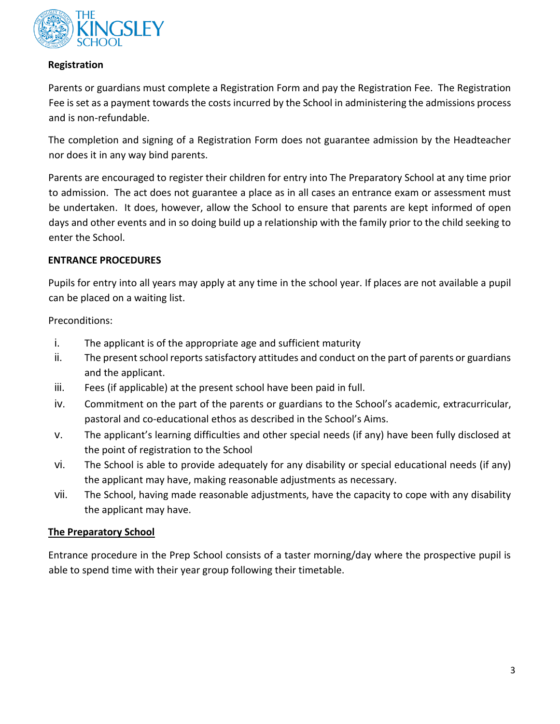

## **Registration**

Parents or guardians must complete a Registration Form and pay the Registration Fee. The Registration Fee is set as a payment towards the costs incurred by the School in administering the admissions process and is non-refundable.

The completion and signing of a Registration Form does not guarantee admission by the Headteacher nor does it in any way bind parents.

Parents are encouraged to register their children for entry into The Preparatory School at any time prior to admission. The act does not guarantee a place as in all cases an entrance exam or assessment must be undertaken. It does, however, allow the School to ensure that parents are kept informed of open days and other events and in so doing build up a relationship with the family prior to the child seeking to enter the School.

## **ENTRANCE PROCEDURES**

Pupils for entry into all years may apply at any time in the school year. If places are not available a pupil can be placed on a waiting list.

Preconditions:

- i. The applicant is of the appropriate age and sufficient maturity
- ii. The present school reports satisfactory attitudes and conduct on the part of parents or guardians and the applicant.
- iii. Fees (if applicable) at the present school have been paid in full.
- iv. Commitment on the part of the parents or guardians to the School's academic, extracurricular, pastoral and co-educational ethos as described in the School's Aims.
- v. The applicant's learning difficulties and other special needs (if any) have been fully disclosed at the point of registration to the School
- vi. The School is able to provide adequately for any disability or special educational needs (if any) the applicant may have, making reasonable adjustments as necessary.
- vii. The School, having made reasonable adjustments, have the capacity to cope with any disability the applicant may have.

# **The Preparatory School**

Entrance procedure in the Prep School consists of a taster morning/day where the prospective pupil is able to spend time with their year group following their timetable.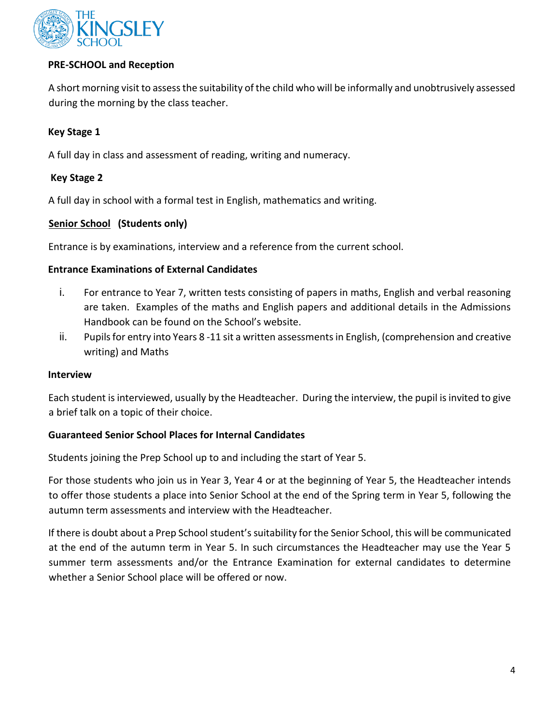

## **PRE-SCHOOL and Reception**

A short morning visit to assess the suitability of the child who will be informally and unobtrusively assessed during the morning by the class teacher.

## **Key Stage 1**

A full day in class and assessment of reading, writing and numeracy.

## **Key Stage 2**

A full day in school with a formal test in English, mathematics and writing.

## **Senior School (Students only)**

Entrance is by examinations, interview and a reference from the current school.

## **Entrance Examinations of External Candidates**

- i. For entrance to Year 7, written tests consisting of papers in maths, English and verbal reasoning are taken. Examples of the maths and English papers and additional details in the Admissions Handbook can be found on the School's website.
- ii. Pupils for entry into Years 8 -11 sit a written assessments in English, (comprehension and creative writing) and Maths

#### **Interview**

Each student is interviewed, usually by the Headteacher. During the interview, the pupil is invited to give a brief talk on a topic of their choice.

## **Guaranteed Senior School Places for Internal Candidates**

Students joining the Prep School up to and including the start of Year 5.

For those students who join us in Year 3, Year 4 or at the beginning of Year 5, the Headteacher intends to offer those students a place into Senior School at the end of the Spring term in Year 5, following the autumn term assessments and interview with the Headteacher.

If there is doubt about a Prep School student's suitability for the Senior School, this will be communicated at the end of the autumn term in Year 5. In such circumstances the Headteacher may use the Year 5 summer term assessments and/or the Entrance Examination for external candidates to determine whether a Senior School place will be offered or now.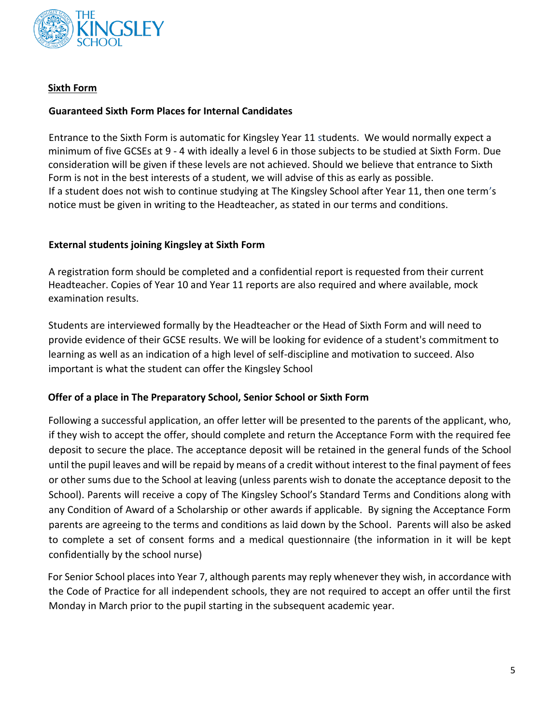

# **Sixth Form**

## **Guaranteed Sixth Form Places for Internal Candidates**

Entrance to the Sixth Form is automatic for Kingsley Year 11 students. We would normally expect a minimum of five GCSEs at 9 - 4 with ideally a level 6 in those subjects to be studied at Sixth Form. Due consideration will be given if these levels are not achieved. Should we believe that entrance to Sixth Form is not in the best interests of a student, we will advise of this as early as possible. If a student does not wish to continue studying at The Kingsley School after Year 11, then one term's notice must be given in writing to the Headteacher, as stated in our terms and conditions.

## **External students joining Kingsley at Sixth Form**

A registration form should be completed and a confidential report is requested from their current Headteacher. Copies of Year 10 and Year 11 reports are also required and where available, mock examination results.

Students are interviewed formally by the Headteacher or the Head of Sixth Form and will need to provide evidence of their GCSE results. We will be looking for evidence of a student's commitment to learning as well as an indication of a high level of self-discipline and motivation to succeed. Also important is what the student can offer the Kingsley School

## **Offer of a place in The Preparatory School, Senior School or Sixth Form**

Following a successful application, an offer letter will be presented to the parents of the applicant, who, if they wish to accept the offer, should complete and return the Acceptance Form with the required fee deposit to secure the place. The acceptance deposit will be retained in the general funds of the School until the pupil leaves and will be repaid by means of a credit without interest to the final payment of fees or other sums due to the School at leaving (unless parents wish to donate the acceptance deposit to the School). Parents will receive a copy of The Kingsley School's Standard Terms and Conditions along with any Condition of Award of a Scholarship or other awards if applicable. By signing the Acceptance Form parents are agreeing to the terms and conditions as laid down by the School. Parents will also be asked to complete a set of consent forms and a medical questionnaire (the information in it will be kept confidentially by the school nurse)

For Senior School places into Year 7, although parents may reply whenever they wish, in accordance with the Code of Practice for all independent schools, they are not required to accept an offer until the first Monday in March prior to the pupil starting in the subsequent academic year.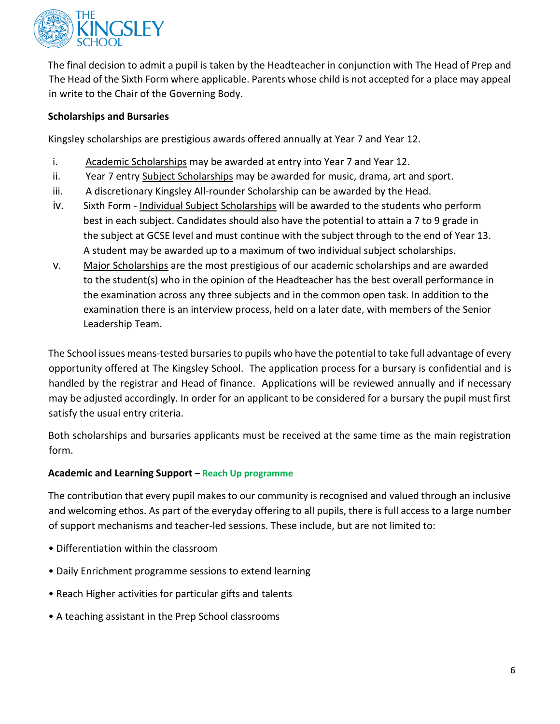

The final decision to admit a pupil is taken by the Headteacher in conjunction with The Head of Prep and The Head of the Sixth Form where applicable. Parents whose child is not accepted for a place may appeal in write to the Chair of the Governing Body.

# **Scholarships and Bursaries**

Kingsley scholarships are prestigious awards offered annually at Year 7 and Year 12.

- i. Academic Scholarships may be awarded at entry into Year 7 and Year 12.
- ii. Year 7 entry Subject Scholarships may be awarded for music, drama, art and sport.
- iii. A discretionary Kingsley All-rounder Scholarship can be awarded by the Head.
- iv. Sixth Form Individual Subject Scholarships will be awarded to the students who perform best in each subject. Candidates should also have the potential to attain a 7 to 9 grade in the subject at GCSE level and must continue with the subject through to the end of Year 13. A student may be awarded up to a maximum of two individual subject scholarships.
- v. Major Scholarships are the most prestigious of our academic scholarships and are awarded to the student(s) who in the opinion of the Headteacher has the best overall performance in the examination across any three subjects and in the common open task. In addition to the examination there is an interview process, held on a later date, with members of the Senior Leadership Team.

The School issues means-tested bursaries to pupils who have the potential to take full advantage of every opportunity offered at The Kingsley School. The application process for a bursary is confidential and is handled by the registrar and Head of finance. Applications will be reviewed annually and if necessary may be adjusted accordingly. In order for an applicant to be considered for a bursary the pupil must first satisfy the usual entry criteria.

Both scholarships and bursaries applicants must be received at the same time as the main registration form.

## **Academic and Learning Support – Reach Up programme**

The contribution that every pupil makes to our community is recognised and valued through an inclusive and welcoming ethos. As part of the everyday offering to all pupils, there is full access to a large number of support mechanisms and teacher-led sessions. These include, but are not limited to:

- Differentiation within the classroom
- Daily Enrichment programme sessions to extend learning
- Reach Higher activities for particular gifts and talents
- A teaching assistant in the Prep School classrooms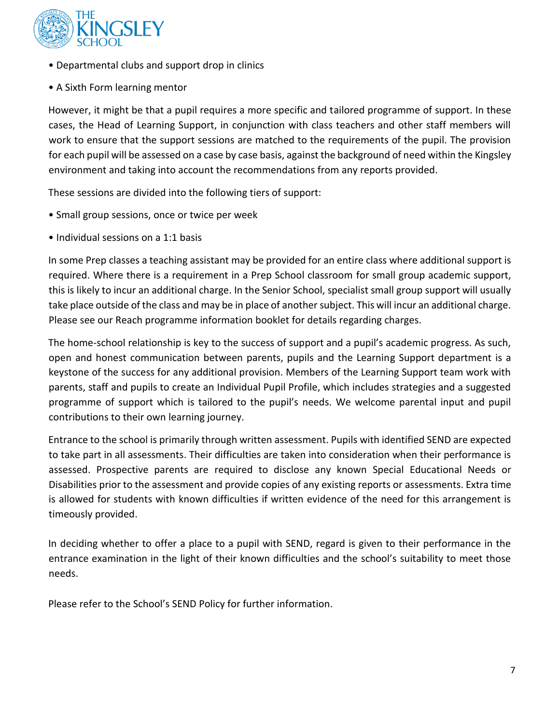

- Departmental clubs and support drop in clinics
- A Sixth Form learning mentor

However, it might be that a pupil requires a more specific and tailored programme of support. In these cases, the Head of Learning Support, in conjunction with class teachers and other staff members will work to ensure that the support sessions are matched to the requirements of the pupil. The provision for each pupil will be assessed on a case by case basis, against the background of need within the Kingsley environment and taking into account the recommendations from any reports provided.

These sessions are divided into the following tiers of support:

- Small group sessions, once or twice per week
- Individual sessions on a 1:1 basis

In some Prep classes a teaching assistant may be provided for an entire class where additional support is required. Where there is a requirement in a Prep School classroom for small group academic support, this is likely to incur an additional charge. In the Senior School, specialist small group support will usually take place outside of the class and may be in place of another subject. This will incur an additional charge. Please see our Reach programme information booklet for details regarding charges.

The home-school relationship is key to the success of support and a pupil's academic progress. As such, open and honest communication between parents, pupils and the Learning Support department is a keystone of the success for any additional provision. Members of the Learning Support team work with parents, staff and pupils to create an Individual Pupil Profile, which includes strategies and a suggested programme of support which is tailored to the pupil's needs. We welcome parental input and pupil contributions to their own learning journey.

Entrance to the school is primarily through written assessment. Pupils with identified SEND are expected to take part in all assessments. Their difficulties are taken into consideration when their performance is assessed. Prospective parents are required to disclose any known Special Educational Needs or Disabilities prior to the assessment and provide copies of any existing reports or assessments. Extra time is allowed for students with known difficulties if written evidence of the need for this arrangement is timeously provided.

In deciding whether to offer a place to a pupil with SEND, regard is given to their performance in the entrance examination in the light of their known difficulties and the school's suitability to meet those needs.

Please refer to the School's SEND Policy for further information.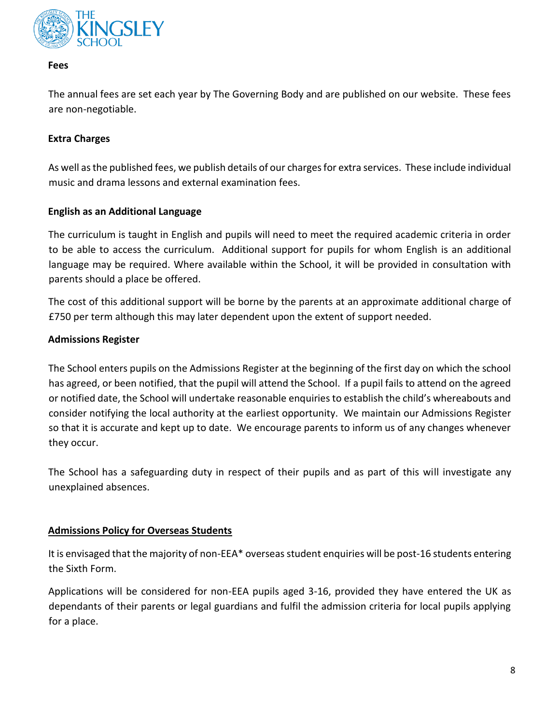

#### **Fees**

The annual fees are set each year by The Governing Body and are published on our website. These fees are non-negotiable.

## **Extra Charges**

As well as the published fees, we publish details of our charges for extra services. These include individual music and drama lessons and external examination fees.

## **English as an Additional Language**

The curriculum is taught in English and pupils will need to meet the required academic criteria in order to be able to access the curriculum. Additional support for pupils for whom English is an additional language may be required. Where available within the School, it will be provided in consultation with parents should a place be offered.

The cost of this additional support will be borne by the parents at an approximate additional charge of £750 per term although this may later dependent upon the extent of support needed.

## **Admissions Register**

The School enters pupils on the Admissions Register at the beginning of the first day on which the school has agreed, or been notified, that the pupil will attend the School. If a pupil fails to attend on the agreed or notified date, the School will undertake reasonable enquiries to establish the child's whereabouts and consider notifying the local authority at the earliest opportunity. We maintain our Admissions Register so that it is accurate and kept up to date. We encourage parents to inform us of any changes whenever they occur.

The School has a safeguarding duty in respect of their pupils and as part of this will investigate any unexplained absences.

# **Admissions Policy for Overseas Students**

It is envisaged that the majority of non-EEA\* overseas student enquiries will be post-16 students entering the Sixth Form.

Applications will be considered for non-EEA pupils aged 3-16, provided they have entered the UK as dependants of their parents or legal guardians and fulfil the admission criteria for local pupils applying for a place.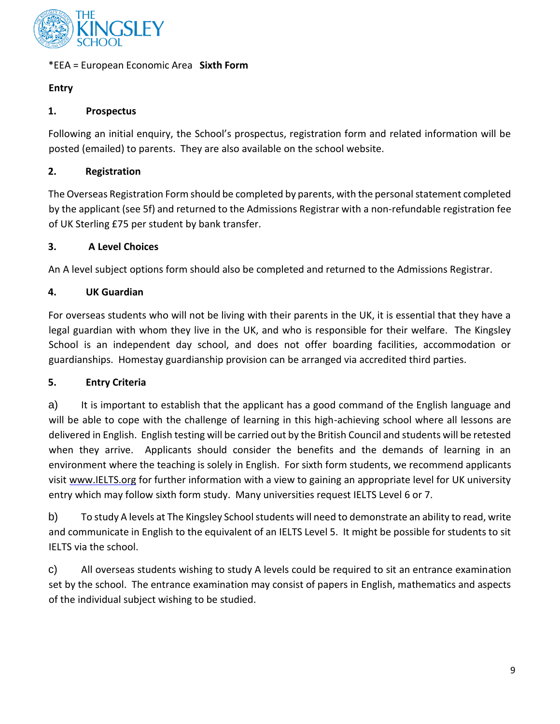

# \*EEA = European Economic Area **Sixth Form**

# **Entry**

# **1. Prospectus**

Following an initial enquiry, the School's prospectus, registration form and related information will be posted (emailed) to parents. They are also available on the school website.

# **2. Registration**

The Overseas Registration Form should be completed by parents, with the personal statement completed by the applicant (see 5f) and returned to the Admissions Registrar with a non-refundable registration fee of UK Sterling £75 per student by bank transfer.

# **3. A Level Choices**

An A level subject options form should also be completed and returned to the Admissions Registrar.

# **4. UK Guardian**

For overseas students who will not be living with their parents in the UK, it is essential that they have a legal guardian with whom they live in the UK, and who is responsible for their welfare. The Kingsley School is an independent day school, and does not offer boarding facilities, accommodation or guardianships. Homestay guardianship provision can be arranged via accredited third parties.

# **5. Entry Criteria**

a) It is important to establish that the applicant has a good command of the English language and will be able to cope with the challenge of learning in this high-achieving school where all lessons are delivered in English. English testing will be carried out by the British Council and students will be retested when they arrive. Applicants should consider the benefits and the demands of learning in an environment where the teaching is solely in English. For sixth form students, we recommend applicants visit [www.IELTS.org](http://www.ielts.org/) [for](http://www.ielts.org/) further information with a view to gaining an appropriate level for UK university entry which may follow sixth form study. Many universities request IELTS Level 6 or 7.

b) To study A levels at The Kingsley School students will need to demonstrate an ability to read, write and communicate in English to the equivalent of an IELTS Level 5. It might be possible for students to sit IELTS via the school.

c) All overseas students wishing to study A levels could be required to sit an entrance examination set by the school. The entrance examination may consist of papers in English, mathematics and aspects of the individual subject wishing to be studied.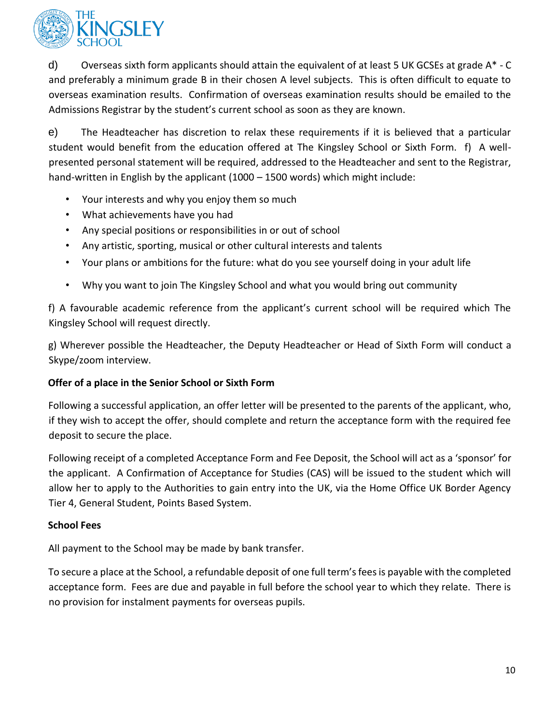

d) Overseas sixth form applicants should attain the equivalent of at least 5 UK GCSEs at grade A\* - C and preferably a minimum grade B in their chosen A level subjects. This is often difficult to equate to overseas examination results. Confirmation of overseas examination results should be emailed to the Admissions Registrar by the student's current school as soon as they are known.

e) The Headteacher has discretion to relax these requirements if it is believed that a particular student would benefit from the education offered at The Kingsley School or Sixth Form. f) A wellpresented personal statement will be required, addressed to the Headteacher and sent to the Registrar, hand-written in English by the applicant (1000 – 1500 words) which might include:

- Your interests and why you enjoy them so much
- What achievements have you had
- Any special positions or responsibilities in or out of school
- Any artistic, sporting, musical or other cultural interests and talents
- Your plans or ambitions for the future: what do you see yourself doing in your adult life
- Why you want to join The Kingsley School and what you would bring out community

f) A favourable academic reference from the applicant's current school will be required which The Kingsley School will request directly.

g) Wherever possible the Headteacher, the Deputy Headteacher or Head of Sixth Form will conduct a Skype/zoom interview.

# **Offer of a place in the Senior School or Sixth Form**

Following a successful application, an offer letter will be presented to the parents of the applicant, who, if they wish to accept the offer, should complete and return the acceptance form with the required fee deposit to secure the place.

Following receipt of a completed Acceptance Form and Fee Deposit, the School will act as a 'sponsor' for the applicant. A Confirmation of Acceptance for Studies (CAS) will be issued to the student which will allow her to apply to the Authorities to gain entry into the UK, via the Home Office UK Border Agency Tier 4, General Student, Points Based System.

# **School Fees**

All payment to the School may be made by bank transfer.

To secure a place at the School, a refundable deposit of one full term's fees is payable with the completed acceptance form. Fees are due and payable in full before the school year to which they relate. There is no provision for instalment payments for overseas pupils.